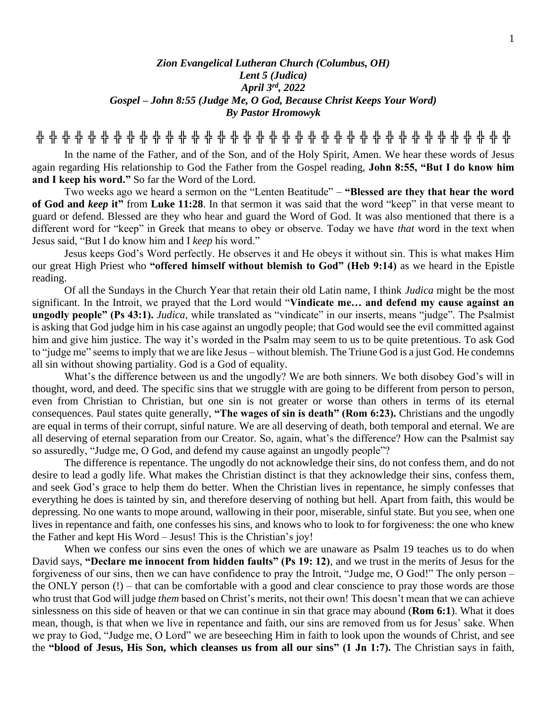## *Zion Evangelical Lutheran Church (Columbus, OH) Lent 5 (Judica) April 3rd , 2022 Gospel – John 8:55 (Judge Me, O God, Because Christ Keeps Your Word) By Pastor Hromowyk*

**╬ ╬ ╬ ╬ ╬ ╬ ╬ ╬ ╬ ╬ ╬ ╬ ╬ ╬ ╬ ╬ ╬ ╬ ╬ ╬ ╬ ╬ ╬ ╬ ╬ ╬ ╬ ╬ ╬ ╬ ╬ ╬ ╬ ╬ ╬ ╬ ╬**

In the name of the Father, and of the Son, and of the Holy Spirit, Amen. We hear these words of Jesus again regarding His relationship to God the Father from the Gospel reading, **John 8:55, "But I do know him and I keep his word."** So far the Word of the Lord.

Two weeks ago we heard a sermon on the "Lenten Beatitude" – **"Blessed are they that hear the word of God and** *keep* **it"** from **Luke 11:28**. In that sermon it was said that the word "keep" in that verse meant to guard or defend. Blessed are they who hear and guard the Word of God. It was also mentioned that there is a different word for "keep" in Greek that means to obey or observe. Today we have *that* word in the text when Jesus said, "But I do know him and I *keep* his word."

Jesus keeps God's Word perfectly. He observes it and He obeys it without sin. This is what makes Him our great High Priest who **"offered himself without blemish to God" (Heb 9:14)** as we heard in the Epistle reading.

Of all the Sundays in the Church Year that retain their old Latin name, I think *Judica* might be the most significant. In the Introit, we prayed that the Lord would "**Vindicate me… and defend my cause against an ungodly people" (Ps 43:1).** *Judica*, while translated as "vindicate" in our inserts, means "judge". The Psalmist is asking that God judge him in his case against an ungodly people; that God would see the evil committed against him and give him justice. The way it's worded in the Psalm may seem to us to be quite pretentious. To ask God to "judge me" seems to imply that we are like Jesus – without blemish. The Triune God is a just God. He condemns all sin without showing partiality. God is a God of equality.

What's the difference between us and the ungodly? We are both sinners. We both disobey God's will in thought, word, and deed. The specific sins that we struggle with are going to be different from person to person, even from Christian to Christian, but one sin is not greater or worse than others in terms of its eternal consequences. Paul states quite generally, **"The wages of sin is death" (Rom 6:23).** Christians and the ungodly are equal in terms of their corrupt, sinful nature. We are all deserving of death, both temporal and eternal. We are all deserving of eternal separation from our Creator. So, again, what's the difference? How can the Psalmist say so assuredly, "Judge me, O God, and defend my cause against an ungodly people"?

The difference is repentance. The ungodly do not acknowledge their sins, do not confess them, and do not desire to lead a godly life. What makes the Christian distinct is that they acknowledge their sins, confess them, and seek God's grace to help them do better. When the Christian lives in repentance, he simply confesses that everything he does is tainted by sin, and therefore deserving of nothing but hell. Apart from faith, this would be depressing. No one wants to mope around, wallowing in their poor, miserable, sinful state. But you see, when one lives in repentance and faith, one confesses his sins, and knows who to look to for forgiveness: the one who knew the Father and kept His Word – Jesus! This is the Christian's joy!

When we confess our sins even the ones of which we are unaware as Psalm 19 teaches us to do when David says, **"Declare me innocent from hidden faults" (Ps 19: 12)**, and we trust in the merits of Jesus for the forgiveness of our sins, then we can have confidence to pray the Introit, "Judge me, O God!" The only person – the ONLY person (!) – that can be comfortable with a good and clear conscience to pray those words are those who trust that God will judge *them* based on Christ's merits, not their own! This doesn't mean that we can achieve sinlessness on this side of heaven or that we can continue in sin that grace may abound (**Rom 6:1**). What it does mean, though, is that when we live in repentance and faith, our sins are removed from us for Jesus' sake. When we pray to God, "Judge me, O Lord" we are beseeching Him in faith to look upon the wounds of Christ, and see the **"blood of Jesus, His Son, which cleanses us from all our sins" (1 Jn 1:7).** The Christian says in faith,